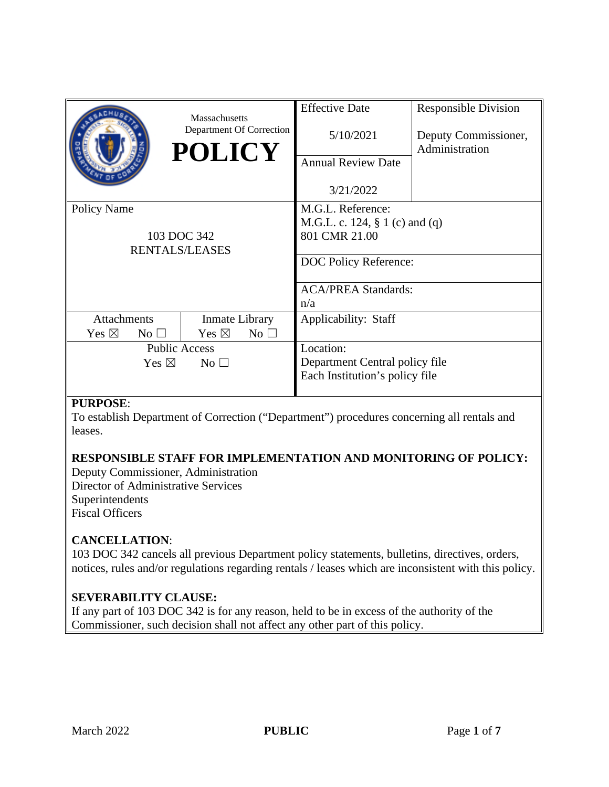|                                                            | Massachusetts<br>Department Of Correction<br><b>POLICY</b> | <b>Effective Date</b><br>5/10/2021<br><b>Annual Review Date</b><br>3/21/2022                                                          | <b>Responsible Division</b><br>Deputy Commissioner,<br>Administration |
|------------------------------------------------------------|------------------------------------------------------------|---------------------------------------------------------------------------------------------------------------------------------------|-----------------------------------------------------------------------|
| <b>Policy Name</b><br>103 DOC 342<br><b>RENTALS/LEASES</b> |                                                            | M.G.L. Reference:<br>M.G.L. c. 124, $\S 1$ (c) and (q)<br>801 CMR 21.00<br>DOC Policy Reference:<br><b>ACA/PREA Standards:</b><br>n/a |                                                                       |
| <b>Attachments</b>                                         | Inmate Library                                             | Applicability: Staff                                                                                                                  |                                                                       |
| Yes $\boxtimes$<br>No <sub>1</sub>                         | Yes $\boxtimes$<br>$No$ $\square$                          |                                                                                                                                       |                                                                       |
| <b>Public Access</b>                                       |                                                            | Location:                                                                                                                             |                                                                       |
| Yes $\boxtimes$<br>$\mathrm{No} \ \Box$                    |                                                            | Department Central policy file                                                                                                        |                                                                       |
|                                                            |                                                            | Each Institution's policy file                                                                                                        |                                                                       |

## **PURPOSE**:

To establish Department of Correction ("Department") procedures concerning all rentals and leases.

## **RESPONSIBLE STAFF FOR IMPLEMENTATION AND MONITORING OF POLICY:**

Deputy Commissioner, Administration Director of Administrative Services Superintendents Fiscal Officers

## **CANCELLATION**:

103 DOC 342 cancels all previous Department policy statements, bulletins, directives, orders, notices, rules and/or regulations regarding rentals / leases which are inconsistent with this policy.

## **SEVERABILITY CLAUSE:**

If any part of 103 DOC 342 is for any reason, held to be in excess of the authority of the Commissioner, such decision shall not affect any other part of this policy.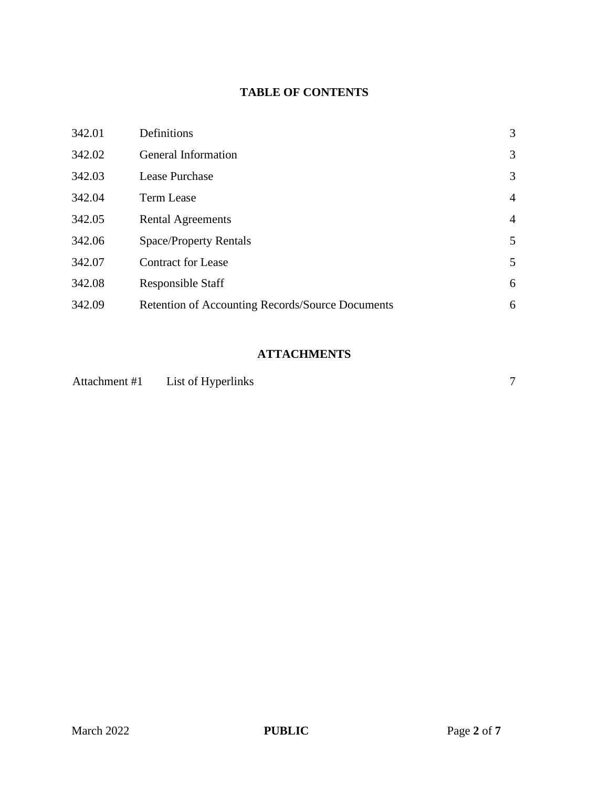# **TABLE OF CONTENTS**

| 342.01 | Definitions                                      | 3              |
|--------|--------------------------------------------------|----------------|
| 342.02 | General Information                              | 3              |
| 342.03 | Lease Purchase                                   | 3              |
| 342.04 | <b>Term Lease</b>                                | $\overline{4}$ |
| 342.05 | <b>Rental Agreements</b>                         | $\overline{4}$ |
| 342.06 | <b>Space/Property Rentals</b>                    | 5              |
| 342.07 | <b>Contract for Lease</b>                        | 5              |
| 342.08 | <b>Responsible Staff</b>                         | 6              |
| 342.09 | Retention of Accounting Records/Source Documents | 6              |

# **ATTACHMENTS**

| Attachment #1 | List of Hyperlinks |  |  |
|---------------|--------------------|--|--|
|---------------|--------------------|--|--|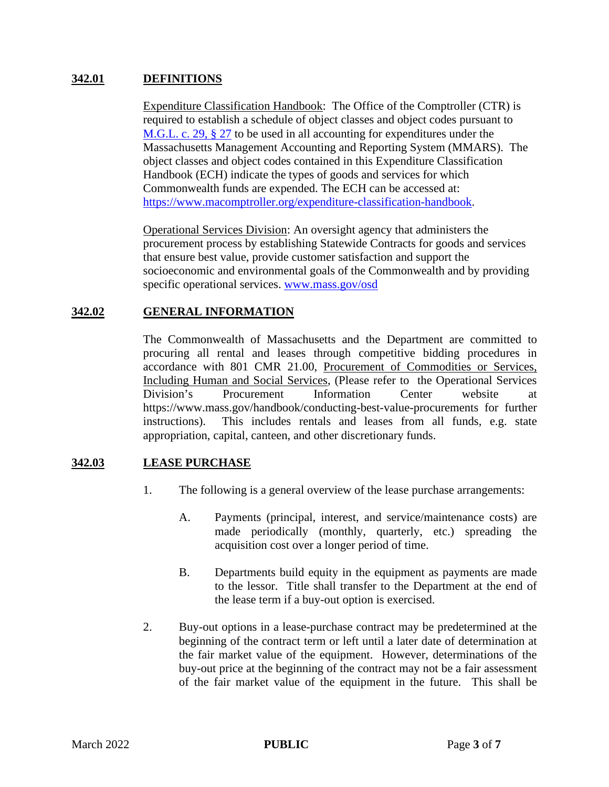#### **342.01 DEFINITIONS**

Expenditure Classification Handbook: The Office of the Comptroller (CTR) is required to establish a schedule of object classes and object codes pursuant to M.G.L. c. 29, § 27 to be used in all accounting for expenditures under the Massachusetts Management Accounting and Reporting System (MMARS). The object classes and object codes contained in this Expenditure Classification Handbook (ECH) indicate the types of goods and services for which Commonwealth funds are expended. The ECH can be accessed at: https://www.macomptroller.org/expenditure-classification-handbook.

Operational Services Division: An oversight agency that administers the procurement process by establishing Statewide Contracts for goods and services that ensure best value, provide customer satisfaction and support the socioeconomic and environmental goals of the Commonwealth and by providing specific operational services. www.mass.gov/osd

#### **342.02 GENERAL INFORMATION**

The Commonwealth of Massachusetts and the Department are committed to procuring all rental and leases through competitive bidding procedures in accordance with 801 CMR 21.00, Procurement of Commodities or Services, Including Human and Social Services, (Please refer to the Operational Services Division's Procurement Information Center website at https://www.mass.gov/handbook/conducting-best-value-procurements for further instructions). This includes rentals and leases from all funds, e.g. state appropriation, capital, canteen, and other discretionary funds.

## **342.03 LEASE PURCHASE**

- 1. The following is a general overview of the lease purchase arrangements:
	- A. Payments (principal, interest, and service/maintenance costs) are made periodically (monthly, quarterly, etc.) spreading the acquisition cost over a longer period of time.
	- B. Departments build equity in the equipment as payments are made to the lessor. Title shall transfer to the Department at the end of the lease term if a buy-out option is exercised.
- 2. Buy-out options in a lease-purchase contract may be predetermined at the beginning of the contract term or left until a later date of determination at the fair market value of the equipment. However, determinations of the buy-out price at the beginning of the contract may not be a fair assessment of the fair market value of the equipment in the future. This shall be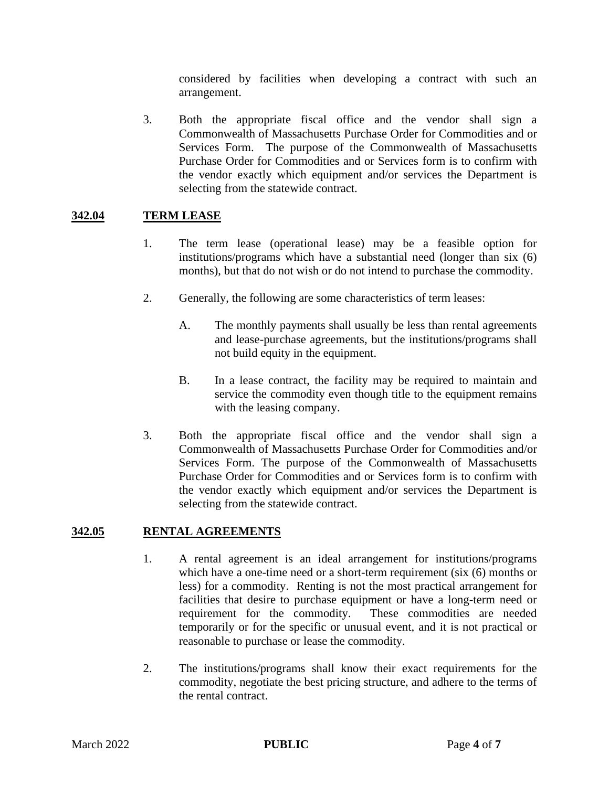considered by facilities when developing a contract with such an arrangement.

3. Both the appropriate fiscal office and the vendor shall sign a Commonwealth of Massachusetts Purchase Order for Commodities and or Services Form. The purpose of the Commonwealth of Massachusetts Purchase Order for Commodities and or Services form is to confirm with the vendor exactly which equipment and/or services the Department is selecting from the statewide contract.

## **342.04 TERM LEASE**

- 1. The term lease (operational lease) may be a feasible option for institutions/programs which have a substantial need (longer than six (6) months), but that do not wish or do not intend to purchase the commodity.
- 2. Generally, the following are some characteristics of term leases:
	- A. The monthly payments shall usually be less than rental agreements and lease-purchase agreements, but the institutions/programs shall not build equity in the equipment.
	- B. In a lease contract, the facility may be required to maintain and service the commodity even though title to the equipment remains with the leasing company.
- 3. Both the appropriate fiscal office and the vendor shall sign a Commonwealth of Massachusetts Purchase Order for Commodities and/or Services Form. The purpose of the Commonwealth of Massachusetts Purchase Order for Commodities and or Services form is to confirm with the vendor exactly which equipment and/or services the Department is selecting from the statewide contract.

#### **342.05 RENTAL AGREEMENTS**

- 1. A rental agreement is an ideal arrangement for institutions/programs which have a one-time need or a short-term requirement (six (6) months or less) for a commodity. Renting is not the most practical arrangement for facilities that desire to purchase equipment or have a long-term need or requirement for the commodity. These commodities are needed temporarily or for the specific or unusual event, and it is not practical or reasonable to purchase or lease the commodity.
- 2. The institutions/programs shall know their exact requirements for the commodity, negotiate the best pricing structure, and adhere to the terms of the rental contract.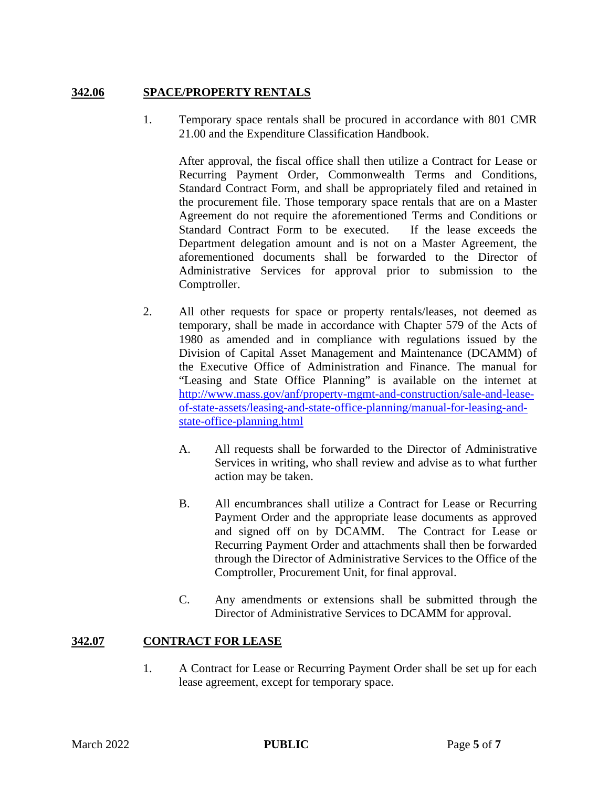#### **342.06 SPACE/PROPERTY RENTALS**

1. Temporary space rentals shall be procured in accordance with 801 CMR 21.00 and the Expenditure Classification Handbook.

After approval, the fiscal office shall then utilize a Contract for Lease or Recurring Payment Order, Commonwealth Terms and Conditions, Standard Contract Form, and shall be appropriately filed and retained in the procurement file. Those temporary space rentals that are on a Master Agreement do not require the aforementioned Terms and Conditions or Standard Contract Form to be executed. If the lease exceeds the Department delegation amount and is not on a Master Agreement, the aforementioned documents shall be forwarded to the Director of Administrative Services for approval prior to submission to the Comptroller.

- 2. All other requests for space or property rentals/leases, not deemed as temporary, shall be made in accordance with Chapter 579 of the Acts of 1980 as amended and in compliance with regulations issued by the Division of Capital Asset Management and Maintenance (DCAMM) of the Executive Office of Administration and Finance. The manual for "Leasing and State Office Planning" is available on the internet at http://www.mass.gov/anf/property-mgmt-and-construction/sale-and-leaseof-state-assets/leasing-and-state-office-planning/manual-for-leasing-andstate-office-planning.html
	- A. All requests shall be forwarded to the Director of Administrative Services in writing, who shall review and advise as to what further action may be taken.
	- B. All encumbrances shall utilize a Contract for Lease or Recurring Payment Order and the appropriate lease documents as approved and signed off on by DCAMM. The Contract for Lease or Recurring Payment Order and attachments shall then be forwarded through the Director of Administrative Services to the Office of the Comptroller, Procurement Unit, for final approval.
	- C. Any amendments or extensions shall be submitted through the Director of Administrative Services to DCAMM for approval.

## **342.07 CONTRACT FOR LEASE**

1. A Contract for Lease or Recurring Payment Order shall be set up for each lease agreement, except for temporary space.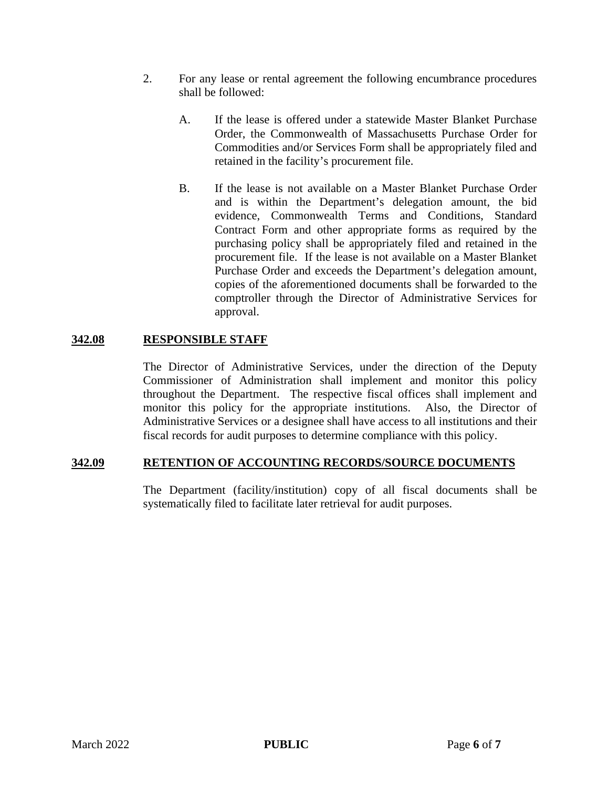- 2. For any lease or rental agreement the following encumbrance procedures shall be followed:
	- A. If the lease is offered under a statewide Master Blanket Purchase Order, the Commonwealth of Massachusetts Purchase Order for Commodities and/or Services Form shall be appropriately filed and retained in the facility's procurement file.
	- B. If the lease is not available on a Master Blanket Purchase Order and is within the Department's delegation amount, the bid evidence, Commonwealth Terms and Conditions, Standard Contract Form and other appropriate forms as required by the purchasing policy shall be appropriately filed and retained in the procurement file. If the lease is not available on a Master Blanket Purchase Order and exceeds the Department's delegation amount, copies of the aforementioned documents shall be forwarded to the comptroller through the Director of Administrative Services for approval.

#### **342.08 RESPONSIBLE STAFF**

The Director of Administrative Services, under the direction of the Deputy Commissioner of Administration shall implement and monitor this policy throughout the Department. The respective fiscal offices shall implement and monitor this policy for the appropriate institutions. Also, the Director of Administrative Services or a designee shall have access to all institutions and their fiscal records for audit purposes to determine compliance with this policy.

#### **342.09 RETENTION OF ACCOUNTING RECORDS/SOURCE DOCUMENTS**

The Department (facility/institution) copy of all fiscal documents shall be systematically filed to facilitate later retrieval for audit purposes.